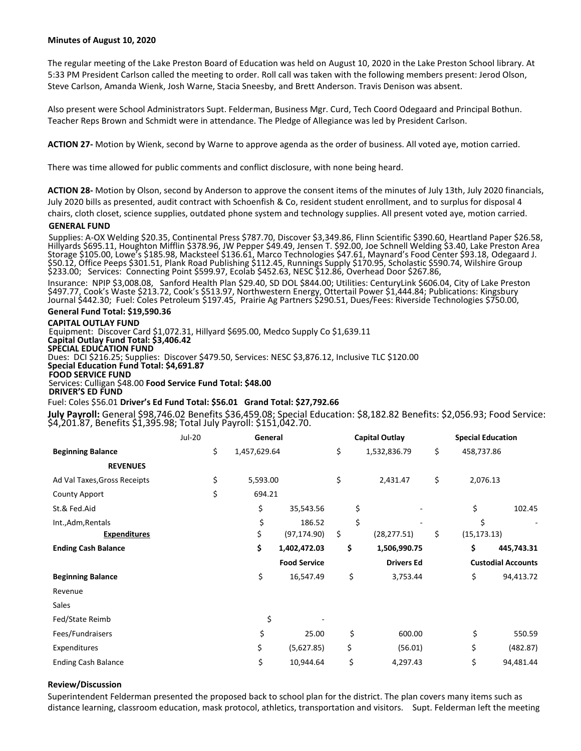## **Minutes of August 10, 2020**

The regular meeting of the Lake Preston Board of Education was held on August 10, 2020 in the Lake Preston School library. At 5:33 PM President Carlson called the meeting to order. Roll call was taken with the following members present: Jerod Olson, Steve Carlson, Amanda Wienk, Josh Warne, Stacia Sneesby, and Brett Anderson. Travis Denison was absent.

Also present were School Administrators Supt. Felderman, Business Mgr. Curd, Tech Coord Odegaard and Principal Bothun. Teacher Reps Brown and Schmidt were in attendance. The Pledge of Allegiance was led by President Carlson.

**ACTION 27-** Motion by Wienk, second by Warne to approve agenda as the order of business. All voted aye, motion carried.

There was time allowed for public comments and conflict disclosure, with none being heard.

**ACTION 28-** Motion by Olson, second by Anderson to approve the consent items of the minutes of July 13th, July 2020 financials, July 2020 bills as presented, audit contract with Schoenfish & Co, resident student enrollment, and to surplus for disposal 4 chairs, cloth closet, science supplies, outdated phone system and technology supplies. All present voted aye, motion carried.

#### **GENERAL FUND**

Supplies: A-OX Welding \$20.35, Continental Press \$787.70, Discover \$3,349.86, Flinn Scientific \$390.60, Heartland Paper \$26.58, Hillyards \$695.11, Houghton Mifflin \$378.96, JW Pepper \$49.49, Jensen T. \$92.00, Joe Schnell Welding \$3.40, Lake Preston Area Storage \$105.00, Lowe's \$185.98, Macksteel \$136.61, Marco Technologies \$47.61, Maynard's Food Center \$93.18, Odegaard J. \$50.12, Office Peeps \$301.51, Plank Road Publishing \$112.45, Runnings Supply \$170.95, Scholastic \$590.74, Wilshire Group \$233.00; Services: Connecting Point \$599.97, Ecolab \$452.63, NESC \$12.86, Overhead Door \$267.86,

Insurance: NPIP \$3,008.08, Sanford Health Plan \$29.40, SD DOL \$844.00; Utilities: CenturyLink \$606.04, City of Lake Preston \$497.77, Cook's Waste \$213.72, Cook's \$513.97, Northwestern Energy, Ottertail Power \$1,444.84; Publications: Kingsbury Journal \$442.30; Fuel: Coles Petroleum \$197.45, Prairie Ag Partners \$290.51, Dues/Fees: Riverside Technologies \$750.00,

## **General Fund Total: \$19,590.36**

**CAPITAL OUTLAY FUND**

Equipment: Discover Card \$1,072.31, Hillyard \$695.00, Medco Supply Co \$1,639.11 **Capital Outlay Fund Total: \$3,406.42 SPECIAL EDUCATION FUND** Dues: DCI \$216.25; Supplies: Discover \$479.50, Services: NESC \$3,876.12, Inclusive TLC \$120.00 **Special Education Fund Total: \$4,691.87 FOOD SERVICE FUND**  Services: Culligan \$48.00 **Food Service Fund Total: \$48.00 DRIVER'S ED FUND** 

#### Fuel: Coles \$56.01 **Driver's Ed Fund Total: \$56.01 Grand Total: \$27,792.66**

**July Payroll:** General \$98,746.02 Benefits \$36,459.08; Special Education: \$8,182.82 Benefits: \$2,056.93; Food Service: \$4,201.87, Benefits \$1,395.98; Total July Payroll: \$151,042.70.

|                              | Jul-20 | General      |                     | <b>Capital Outlay</b> |                   | <b>Special Education</b> |                           |            |
|------------------------------|--------|--------------|---------------------|-----------------------|-------------------|--------------------------|---------------------------|------------|
| <b>Beginning Balance</b>     | \$     | 1,457,629.64 |                     | \$                    | 1,532,836.79      |                          | 458,737.86                |            |
| <b>REVENUES</b>              |        |              |                     |                       |                   |                          |                           |            |
| Ad Val Taxes, Gross Receipts | \$     | 5,593.00     |                     | \$                    | 2,431.47          | \$                       | 2,076.13                  |            |
| County Apport                | \$     | 694.21       |                     |                       |                   |                          |                           |            |
| St.& Fed.Aid                 |        | \$           | 35,543.56           | \$                    |                   |                          | \$                        | 102.45     |
| Int., Adm, Rentals           |        | \$           | 186.52              | \$                    |                   |                          | \$                        |            |
| <b>Expenditures</b>          |        | \$           | (97, 174.90)        | \$                    | (28, 277.51)      | \$                       | (15, 173.13)              |            |
| <b>Ending Cash Balance</b>   |        | \$           | 1,402,472.03        | \$                    | 1,506,990.75      |                          | \$                        | 445,743.31 |
|                              |        |              | <b>Food Service</b> |                       | <b>Drivers Ed</b> |                          | <b>Custodial Accounts</b> |            |
| <b>Beginning Balance</b>     |        | \$           | 16,547.49           | \$                    | 3,753.44          |                          | \$                        | 94,413.72  |
| Revenue                      |        |              |                     |                       |                   |                          |                           |            |
| Sales                        |        |              |                     |                       |                   |                          |                           |            |
| Fed/State Reimb              |        | \$           |                     |                       |                   |                          |                           |            |
| Fees/Fundraisers             |        | \$           | 25.00               | \$                    | 600.00            |                          | \$                        | 550.59     |
| Expenditures                 |        | \$           | (5,627.85)          | \$                    | (56.01)           |                          | \$                        | (482.87)   |
| <b>Ending Cash Balance</b>   |        | \$           | 10,944.64           | \$                    | 4,297.43          |                          | \$                        | 94,481.44  |

#### **Review/Discussion**

Superintendent Felderman presented the proposed back to school plan for the district. The plan covers many items such as distance learning, classroom education, mask protocol, athletics, transportation and visitors. Supt. Felderman left the meeting